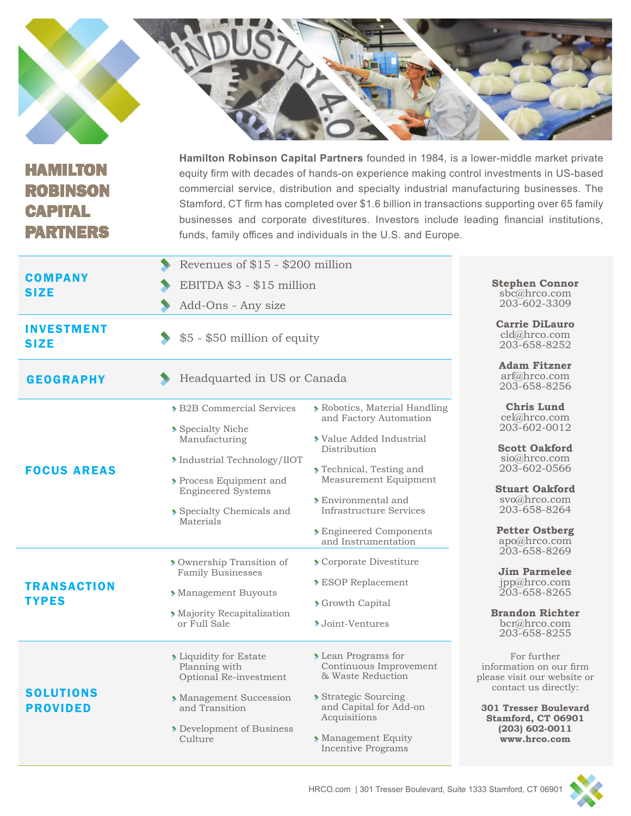| <b>HAMILTON</b><br><b>ROBINSON</b><br><b>CAPITAL</b><br><b>PARTNERS</b> | Hamilton Robinson Capital Partners founded in 1984, is a lower-middle market private<br>equity firm with decades of hands-on experience making control investments in US-based<br>commercial service, distribution and specialty industrial manufacturing businesses. The<br>Stamford, CT firm has completed over \$1.6 billion in transactions supporting over 65 family<br>businesses and corporate divestitures. Investors include leading financial institutions,<br>funds, family offices and individuals in the U.S. and Europe. |                                                                                                                                                                                                                                                                         |                                                                                                                                                                                                             |
|-------------------------------------------------------------------------|----------------------------------------------------------------------------------------------------------------------------------------------------------------------------------------------------------------------------------------------------------------------------------------------------------------------------------------------------------------------------------------------------------------------------------------------------------------------------------------------------------------------------------------|-------------------------------------------------------------------------------------------------------------------------------------------------------------------------------------------------------------------------------------------------------------------------|-------------------------------------------------------------------------------------------------------------------------------------------------------------------------------------------------------------|
| <b>COMPANY</b><br><b>SIZE</b>                                           | Revenues of \$15 - \$200 million<br>EBITDA \$3 - \$15 million<br>Add-Ons - Any size                                                                                                                                                                                                                                                                                                                                                                                                                                                    |                                                                                                                                                                                                                                                                         | <b>Stephen Connor</b><br>sbc@hrco.com<br>203-602-3309                                                                                                                                                       |
| <b>INVESTMENT</b><br><b>SIZE</b>                                        | \$5 - \$50 million of equity                                                                                                                                                                                                                                                                                                                                                                                                                                                                                                           |                                                                                                                                                                                                                                                                         | <b>Carrie DiLauro</b><br>cld@hrco.com<br>203-658-8252                                                                                                                                                       |
| <b>GEOGRAPHY</b>                                                        | Headquarted in US or Canada                                                                                                                                                                                                                                                                                                                                                                                                                                                                                                            |                                                                                                                                                                                                                                                                         | <b>Adam Fitzner</b><br>arf@hrco.com<br>203-658-8256                                                                                                                                                         |
| <b>FOCUS AREAS</b>                                                      | <b>&gt; B2B Commercial Services</b><br>Specialty Niche<br>Manufacturing<br>Industrial Technology/IIOT<br>Process Equipment and<br><b>Engineered Systems</b><br>Specialty Chemicals and<br>Materials                                                                                                                                                                                                                                                                                                                                    | <b>Robotics, Material Handling</b><br>and Factory Automation<br>Value Added Industrial<br>Distribution<br>Technical, Testing and<br>Measurement Equipment<br><b>Environmental and</b><br>Infrastructure Services<br><b>Engineered Components</b><br>and Instrumentation | <b>Chris Lund</b><br>cel@hrco.com<br>203-602-0012<br><b>Scott Oakford</b><br>sio@hrco.com<br>203-602-0566<br><b>Stuart Oakford</b><br>svo@hrco.com<br>203-658-8264<br><b>Petter Ostberg</b><br>apo@hrco.com |
| <b>TRANSACTION</b><br><b>TYPES</b>                                      | Ownership Transition of<br><b>Family Businesses</b><br>Management Buyouts<br>Majority Recapitalization<br>or Full Sale                                                                                                                                                                                                                                                                                                                                                                                                                 | Corporate Divestiture<br><b>ESOP</b> Replacement<br>Scrowth Capital<br>◆ Joint-Ventures                                                                                                                                                                                 | 203-658-8269<br><b>Jim Parmelee</b><br>jpp@hrco.com<br>203-658-8265<br><b>Brandon Richter</b><br>bcr@hrco.com<br>203-658-8255                                                                               |
| <b>SOLUTIONS</b><br><b>PROVIDED</b>                                     | <b>Example 1</b> Liquidity for Estate<br>Planning with<br>Optional Re-investment<br>Management Succession<br>and Transition<br>Development of Business<br>Culture                                                                                                                                                                                                                                                                                                                                                                      | <b>Lean Programs for</b><br>Continuous Improvement<br>& Waste Reduction<br>Strategic Sourcing<br>and Capital for Add-on<br>Acquisitions<br>Management Equity<br><b>Incentive Programs</b>                                                                               | For further<br>information on our firm<br>please visit our website or<br>contact us directly:<br><b>301 Tresser Boulevard</b><br>Stamford, CT 06901<br>$(203) 602 - 0011$<br>www.hrco.com                   |

**College**